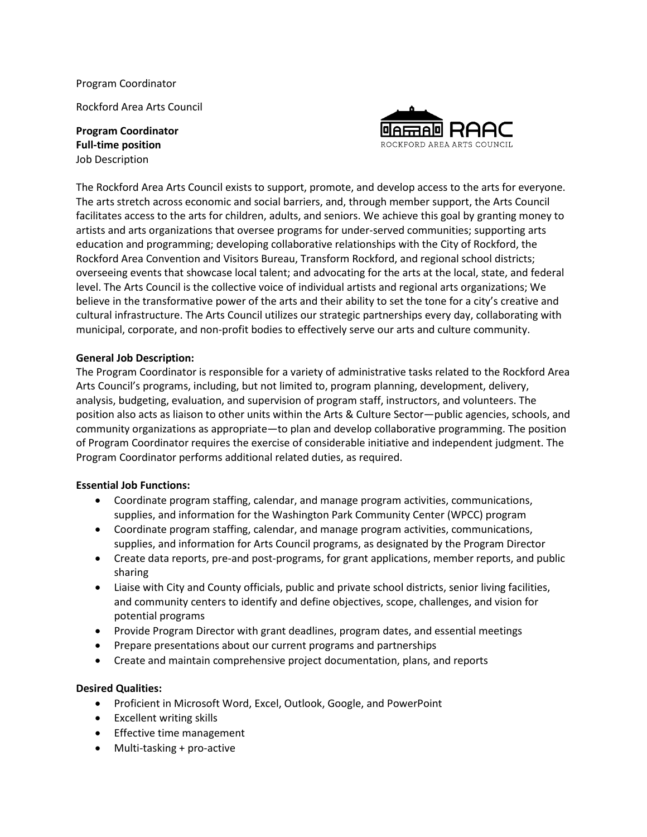Program Coordinator

Rockford Area Arts Council

**Program Coordinator Full-time position** Job Description



The Rockford Area Arts Council exists to support, promote, and develop access to the arts for everyone. The arts stretch across economic and social barriers, and, through member support, the Arts Council facilitates access to the arts for children, adults, and seniors. We achieve this goal by granting money to artists and arts organizations that oversee programs for under-served communities; supporting arts education and programming; developing collaborative relationships with the City of Rockford, the Rockford Area Convention and Visitors Bureau, Transform Rockford, and regional school districts; overseeing events that showcase local talent; and advocating for the arts at the local, state, and federal level. The Arts Council is the collective voice of individual artists and regional arts organizations; We believe in the transformative power of the arts and their ability to set the tone for a city's creative and cultural infrastructure. The Arts Council utilizes our strategic partnerships every day, collaborating with municipal, corporate, and non-profit bodies to effectively serve our arts and culture community.

## **General Job Description:**

The Program Coordinator is responsible for a variety of administrative tasks related to the Rockford Area Arts Council's programs, including, but not limited to, program planning, development, delivery, analysis, budgeting, evaluation, and supervision of program staff, instructors, and volunteers. The position also acts as liaison to other units within the Arts & Culture Sector—public agencies, schools, and community organizations as appropriate—to plan and develop collaborative programming. The position of Program Coordinator requires the exercise of considerable initiative and independent judgment. The Program Coordinator performs additional related duties, as required.

### **Essential Job Functions:**

- Coordinate program staffing, calendar, and manage program activities, communications, supplies, and information for the Washington Park Community Center (WPCC) program
- Coordinate program staffing, calendar, and manage program activities, communications, supplies, and information for Arts Council programs, as designated by the Program Director
- Create data reports, pre-and post-programs, for grant applications, member reports, and public sharing
- Liaise with City and County officials, public and private school districts, senior living facilities, and community centers to identify and define objectives, scope, challenges, and vision for potential programs
- Provide Program Director with grant deadlines, program dates, and essential meetings
- Prepare presentations about our current programs and partnerships
- Create and maintain comprehensive project documentation, plans, and reports

# **Desired Qualities:**

- Proficient in Microsoft Word, Excel, Outlook, Google, and PowerPoint
- Excellent writing skills
- Effective time management
- Multi-tasking + pro-active